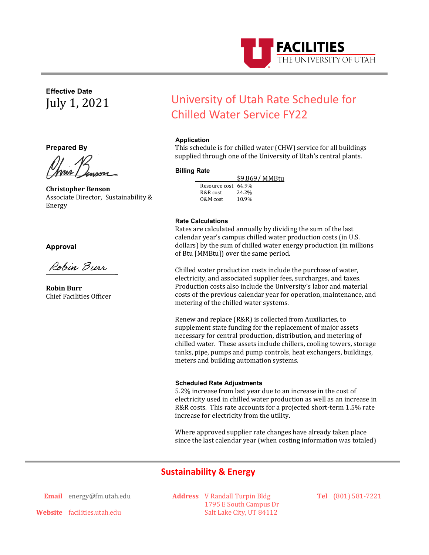

**Effective Date** July 1, 2021

**Prepared By**

<u> MM / hypora</u>

**Christopher Benson** Associate Director, Sustainability & Energy

**Approval** 

\_

**Robin Burr** Chief Facilities Officer

# University of Utah Rate Schedule for Chilled Water Service FY22

## **Application**

This schedule is for chilled water (CHW) service for all buildings supplied through one of the University of Utah's central plants.

## **Billing Rate**

 $$9.869/MMBtu$ <br>Resource cost 64.9%<br>R&R cost 24.2% R&R cost 24.2%<br>0&M cost 10.9%  $0.8M$  cost

#### **Rate Calculations**

Rates are calculated annually by dividing the sum of the last calendar year's campus chilled water production costs (in U.S. dollars) by the sum of chilled water energy production (in millions of Btu [MMBtu]) over the same period.

Chilled water production costs include the purchase of water, electricity, and associated supplier fees, surcharges, and taxes. Production costs also include the University's labor and material costs of the previous calendar year for operation, maintenance, and metering of the chilled water systems.

Renew and replace (R&R) is collected from Auxiliaries, to supplement state funding for the replacement of major assets necessary for central production, distribution, and metering of chilled water. These assets include chillers, cooling towers, storage tanks, pipe, pumps and pump controls, heat exchangers, buildings, meters and building automation systems.

#### **Scheduled Rate Adjustments**

5.2% increase from last year due to an increase in the cost of electricity used in chilled water production as well as an increase in R&R costs. This rate accounts for a projected short-term 1.5% rate increase for electricity from the utility.

Where approved supplier rate changes have already taken place since the last calendar year (when costing information was totaled)

# **Sustainability & Energy**

**Email** [energy@fm.utah.edu](mailto:energy@fm.utah.edu)

**Address** V Randall Turpin Bldg 1795 E South Campus Dr Salt Lake City, UT 84112

**Tel** (801) 581-7221

**Website** facilities.utah.edu